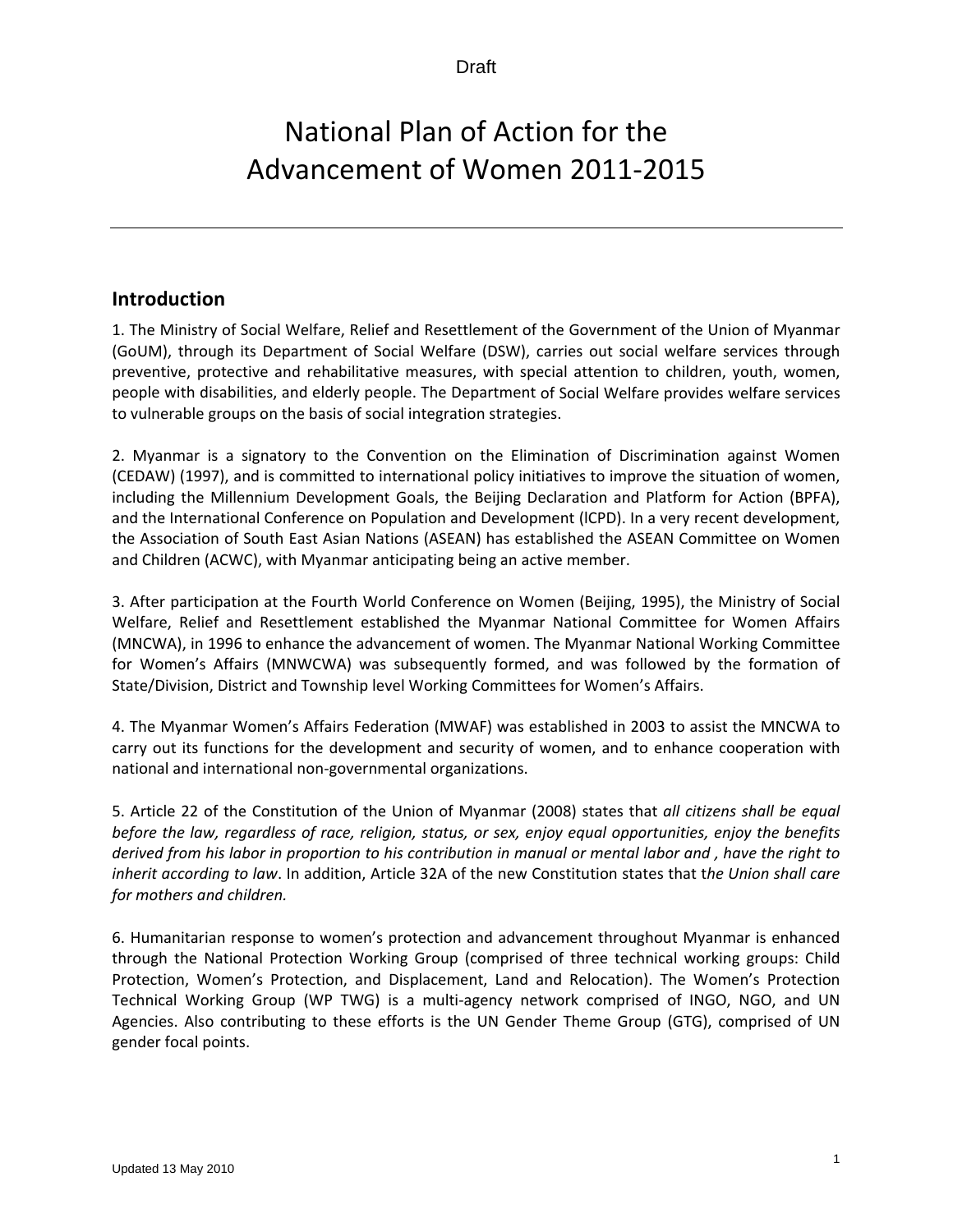# National Plan of Action for the Advancement of Women 2011‐2015

## **Introduction**

1. The Ministry of Social Welfare, Relief and Resettlement of the Government of the Union of Myanmar (GoUM), through its Department of Social Welfare (DSW), carries out social welfare services through preventive, protective and rehabilitative measures, with special attention to children, youth, women, people with disabilities, and elderly people. The Department of Social Welfare provides welfare services to vulnerable groups on the basis of social integration strategies.

2. Myanmar is a signatory to the Convention on the Elimination of Discrimination against Women (CEDAW) (1997), and is committed to international policy initiatives to improve the situation of women, including the Millennium Development Goals, the Beijing Declaration and Platform for Action (BPFA), and the International Conference on Population and Development (lCPD). In a very recent development, the Association of South East Asian Nations (ASEAN) has established the ASEAN Committee on Women and Children (ACWC), with Myanmar anticipating being an active member.

3. After participation at the Fourth World Conference on Women (Beijing, 1995), the Ministry of Social Welfare, Relief and Resettlement established the Myanmar National Committee for Women Affairs (MNCWA), in 1996 to enhance the advancement of women. The Myanmar National Working Committee for Women's Affairs (MNWCWA) was subsequently formed, and was followed by the formation of State/Division, District and Township level Working Committees for Women's Affairs.

4. The Myanmar Women's Affairs Federation (MWAF) was established in 2003 to assist the MNCWA to carry out its functions for the development and security of women, and to enhance cooperation with national and international non‐governmental organizations.

5. Article 22 of the Constitution of the Union of Myanmar (2008) states that *all citizens shall be equal before the law, regardless of race, religion, status, or sex, enjoy equal opportunities, enjoy the benefits* derived from his labor in proportion to his contribution in manual or mental labor and, have the right to *inherit according to law*. In addition, Article 32A of the new Constitution states that t*he Union shall care for mothers and children.*

6. Humanitarian response to women's protection and advancement throughout Myanmar is enhanced through the National Protection Working Group (comprised of three technical working groups: Child Protection, Women's Protection, and Displacement, Land and Relocation). The Women's Protection Technical Working Group (WP TWG) is a multi-agency network comprised of INGO, NGO, and UN Agencies. Also contributing to these efforts is the UN Gender Theme Group (GTG), comprised of UN gender focal points.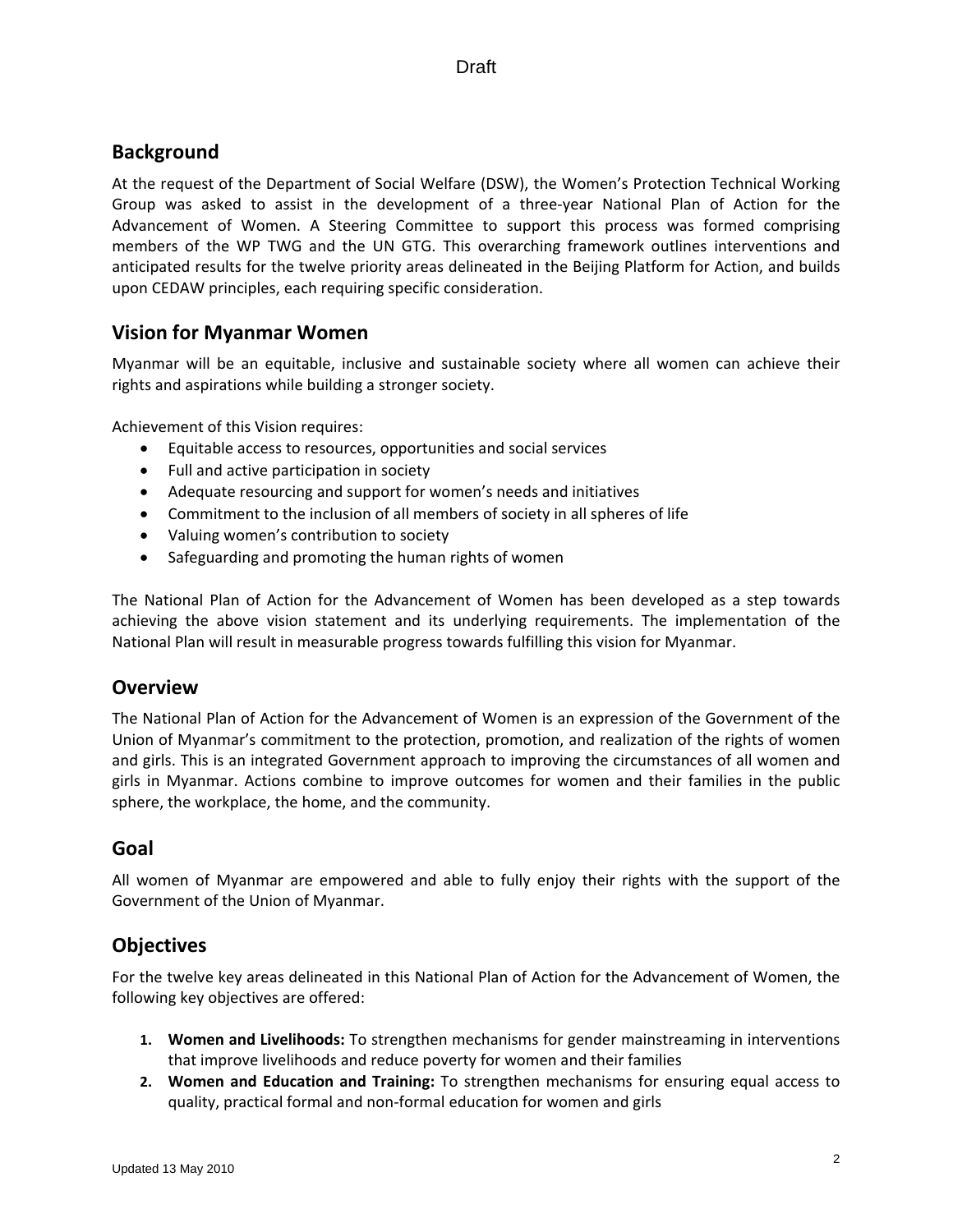## **Background**

At the request of the Department of Social Welfare (DSW), the Women's Protection Technical Working Group was asked to assist in the development of a three‐year National Plan of Action for the Advancement of Women. A Steering Committee to support this process was formed comprising members of the WP TWG and the UN GTG. This overarching framework outlines interventions and anticipated results for the twelve priority areas delineated in the Beijing Platform for Action, and builds upon CEDAW principles, each requiring specific consideration.

## **Vision for Myanmar Women**

Myanmar will be an equitable, inclusive and sustainable society where all women can achieve their rights and aspirations while building a stronger society.

Achievement of this Vision requires:

- Equitable access to resources, opportunities and social services
- Full and active participation in society
- Adequate resourcing and support for women's needs and initiatives
- Commitment to the inclusion of all members of society in all spheres of life
- Valuing women's contribution to society
- Safeguarding and promoting the human rights of women

The National Plan of Action for the Advancement of Women has been developed as a step towards achieving the above vision statement and its underlying requirements. The implementation of the National Plan will result in measurable progress towards fulfilling this vision for Myanmar.

### **Overview**

The National Plan of Action for the Advancement of Women is an expression of the Government of the Union of Myanmar's commitment to the protection, promotion, and realization of the rights of women and girls. This is an integrated Government approach to improving the circumstances of all women and girls in Myanmar. Actions combine to improve outcomes for women and their families in the public sphere, the workplace, the home, and the community.

### **Goal**

All women of Myanmar are empowered and able to fully enjoy their rights with the support of the Government of the Union of Myanmar.

### **Objectives**

For the twelve key areas delineated in this National Plan of Action for the Advancement of Women, the following key objectives are offered:

- **1. Women and Livelihoods:** To strengthen mechanisms for gender mainstreaming in interventions that improve livelihoods and reduce poverty for women and their families
- **2. Women and Education and Training:** To strengthen mechanisms for ensuring equal access to quality, practical formal and non‐formal education for women and girls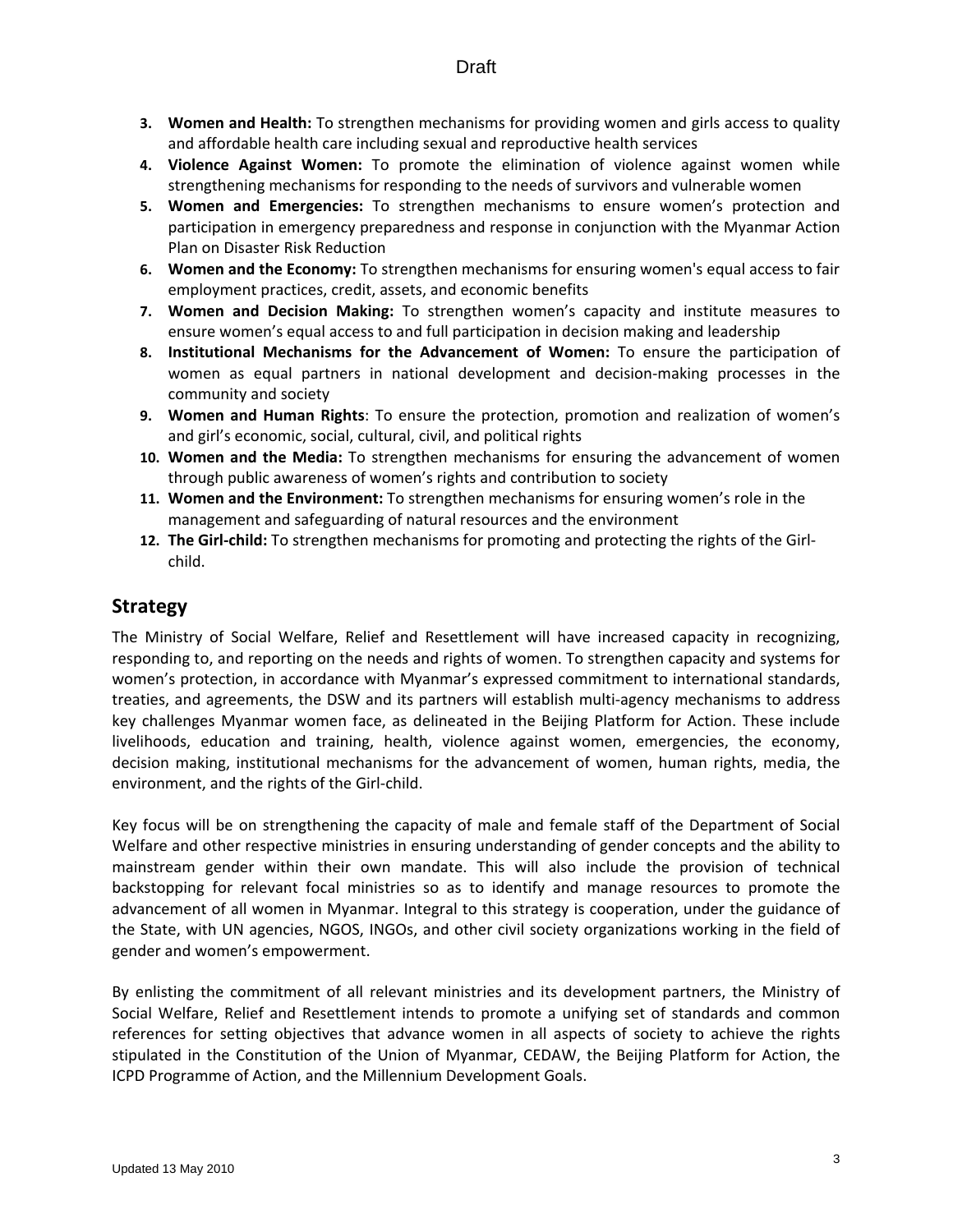- **3. Women and Health:** To strengthen mechanisms for providing women and girls access to quality and affordable health care including sexual and reproductive health services
- **4. Violence Against Women:** To promote the elimination of violence against women while strengthening mechanisms for responding to the needs of survivors and vulnerable women
- **5. Women and Emergencies:** To strengthen mechanisms to ensure women's protection and participation in emergency preparedness and response in conjunction with the Myanmar Action Plan on Disaster Risk Reduction
- **6. Women and the Economy:** To strengthen mechanisms for ensuring women's equal access to fair employment practices, credit, assets, and economic benefits
- **7. Women and Decision Making:** To strengthen women's capacity and institute measures to ensure women's equal access to and full participation in decision making and leadership
- **8. Institutional Mechanisms for the Advancement of Women:** To ensure the participation of women as equal partners in national development and decision-making processes in the community and society
- **9. Women and Human Rights**: To ensure the protection, promotion and realization of women's and girl's economic, social, cultural, civil, and political rights
- **10. Women and the Media:** To strengthen mechanisms for ensuring the advancement of women through public awareness of women's rights and contribution to society
- **11. Women and the Environment:** To strengthen mechanisms for ensuring women's role in the management and safeguarding of natural resources and the environment
- **12. The Girl‐child:** To strengthen mechanisms for promoting and protecting the rights of the Girl‐ child.

## **Strategy**

The Ministry of Social Welfare, Relief and Resettlement will have increased capacity in recognizing, responding to, and reporting on the needs and rights of women. To strengthen capacity and systems for women's protection, in accordance with Myanmar's expressed commitment to international standards, treaties, and agreements, the DSW and its partners will establish multi-agency mechanisms to address key challenges Myanmar women face, as delineated in the Beijing Platform for Action. These include livelihoods, education and training, health, violence against women, emergencies, the economy, decision making, institutional mechanisms for the advancement of women, human rights, media, the environment, and the rights of the Girl-child.

Key focus will be on strengthening the capacity of male and female staff of the Department of Social Welfare and other respective ministries in ensuring understanding of gender concepts and the ability to mainstream gender within their own mandate. This will also include the provision of technical backstopping for relevant focal ministries so as to identify and manage resources to promote the advancement of all women in Myanmar. Integral to this strategy is cooperation, under the guidance of the State, with UN agencies, NGOS, INGOs, and other civil society organizations working in the field of gender and women's empowerment.

By enlisting the commitment of all relevant ministries and its development partners, the Ministry of Social Welfare, Relief and Resettlement intends to promote a unifying set of standards and common references for setting objectives that advance women in all aspects of society to achieve the rights stipulated in the Constitution of the Union of Myanmar, CEDAW, the Beijing Platform for Action, the ICPD Programme of Action, and the Millennium Development Goals.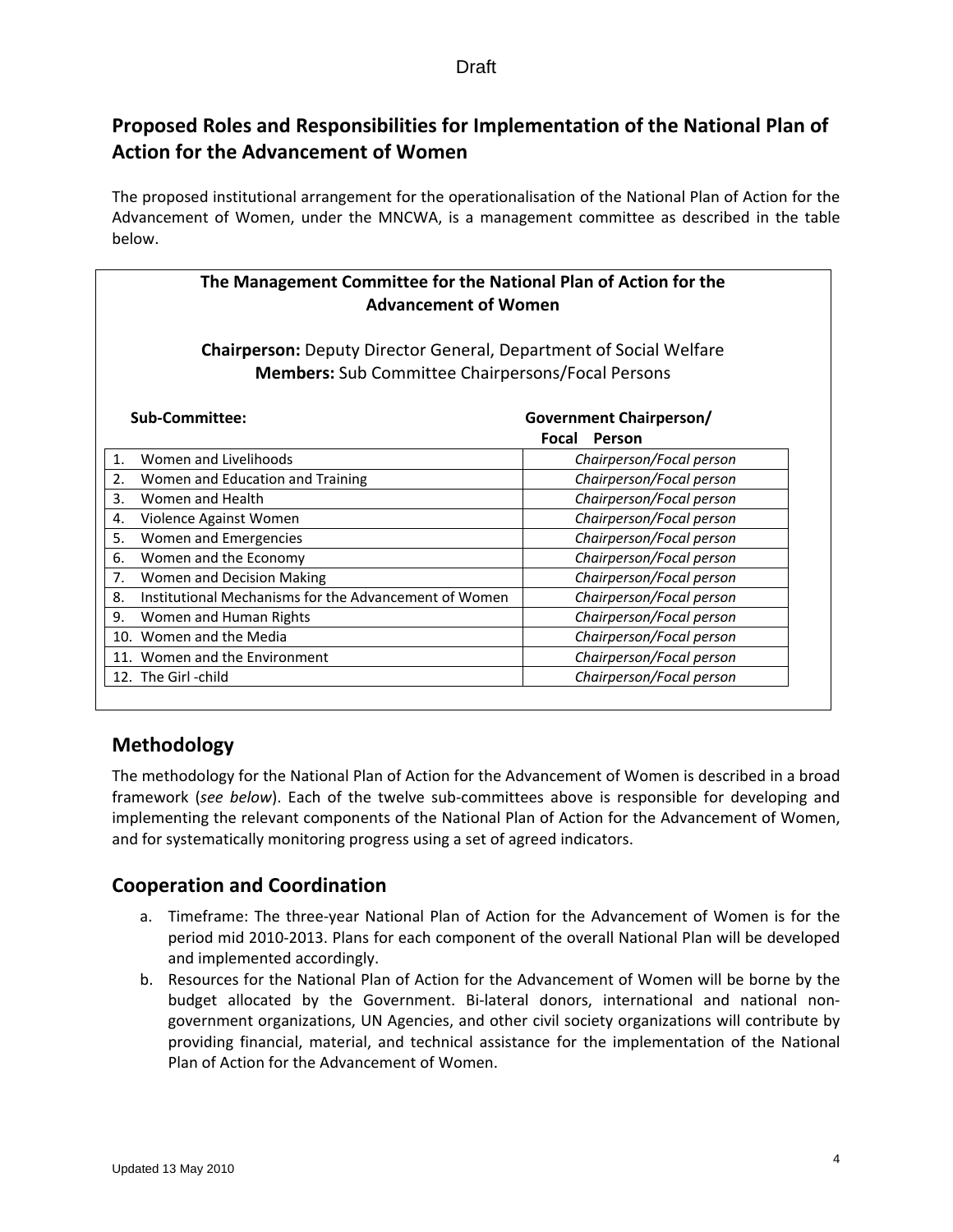## **Proposed Roles and Responsibilities for Implementation of the National Plan of Action for the Advancement of Women**

The proposed institutional arrangement for the operationalisation of the National Plan of Action for the Advancement of Women, under the MNCWA, is a management committee as described in the table below.

| The Management Committee for the National Plan of Action for the<br><b>Advancement of Women</b>                                       |                                                       |                          |  |  |  |
|---------------------------------------------------------------------------------------------------------------------------------------|-------------------------------------------------------|--------------------------|--|--|--|
| <b>Chairperson:</b> Deputy Director General, Department of Social Welfare<br><b>Members:</b> Sub Committee Chairpersons/Focal Persons |                                                       |                          |  |  |  |
|                                                                                                                                       | Sub-Committee:<br>Government Chairperson/             |                          |  |  |  |
|                                                                                                                                       |                                                       | Person<br>Focal          |  |  |  |
| 1.                                                                                                                                    | Women and Livelihoods                                 | Chairperson/Focal person |  |  |  |
| 2.                                                                                                                                    | Women and Education and Training                      | Chairperson/Focal person |  |  |  |
| 3.<br>Women and Health                                                                                                                |                                                       | Chairperson/Focal person |  |  |  |
| 4.                                                                                                                                    | Violence Against Women                                | Chairperson/Focal person |  |  |  |
| 5.                                                                                                                                    | Women and Emergencies                                 | Chairperson/Focal person |  |  |  |
| 6.                                                                                                                                    | Women and the Economy                                 | Chairperson/Focal person |  |  |  |
| 7.                                                                                                                                    | Women and Decision Making                             | Chairperson/Focal person |  |  |  |
| 8.                                                                                                                                    | Institutional Mechanisms for the Advancement of Women | Chairperson/Focal person |  |  |  |
| Chairperson/Focal person<br>9.<br>Women and Human Rights                                                                              |                                                       |                          |  |  |  |
| 10.                                                                                                                                   | Women and the Media                                   | Chairperson/Focal person |  |  |  |
| 11.                                                                                                                                   | Women and the Environment                             | Chairperson/Focal person |  |  |  |
|                                                                                                                                       | 12. The Girl-child                                    | Chairperson/Focal person |  |  |  |

## **Methodology**

The methodology for the National Plan of Action for the Advancement of Women is described in a broad framework (*see below*). Each of the twelve sub‐committees above is responsible for developing and implementing the relevant components of the National Plan of Action for the Advancement of Women, and for systematically monitoring progress using a set of agreed indicators.

## **Cooperation and Coordination**

- a. Timeframe: The three‐year National Plan of Action for the Advancement of Women is for the period mid 2010‐2013. Plans for each component of the overall National Plan will be developed and implemented accordingly.
- b. Resources for the National Plan of Action for the Advancement of Women will be borne by the budget allocated by the Government. Bi-lateral donors, international and national nongovernment organizations, UN Agencies, and other civil society organizations will contribute by providing financial, material, and technical assistance for the implementation of the National Plan of Action for the Advancement of Women.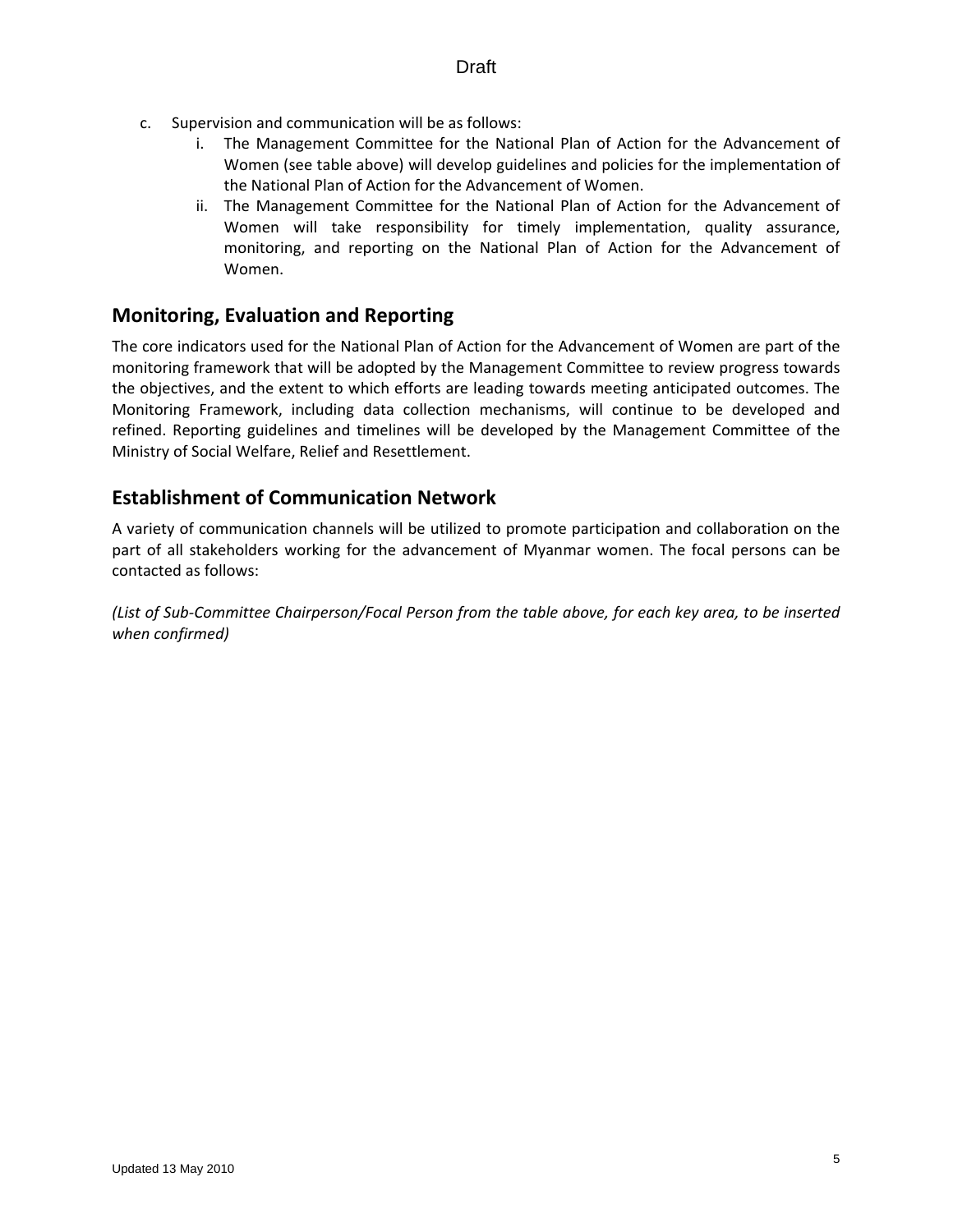- c. Supervision and communication will be as follows:
	- i. The Management Committee for the National Plan of Action for the Advancement of Women (see table above) will develop guidelines and policies for the implementation of the National Plan of Action for the Advancement of Women.
	- ii. The Management Committee for the National Plan of Action for the Advancement of Women will take responsibility for timely implementation, quality assurance, monitoring, and reporting on the National Plan of Action for the Advancement of Women.

## **Monitoring, Evaluation and Reporting**

The core indicators used for the National Plan of Action for the Advancement of Women are part of the monitoring framework that will be adopted by the Management Committee to review progress towards the objectives, and the extent to which efforts are leading towards meeting anticipated outcomes. The Monitoring Framework, including data collection mechanisms, will continue to be developed and refined. Reporting guidelines and timelines will be developed by the Management Committee of the Ministry of Social Welfare, Relief and Resettlement.

## **Establishment of Communication Network**

A variety of communication channels will be utilized to promote participation and collaboration on the part of all stakeholders working for the advancement of Myanmar women. The focal persons can be contacted as follows:

(List of Sub-Committee Chairperson/Focal Person from the table above, for each key area, to be inserted *when confirmed)*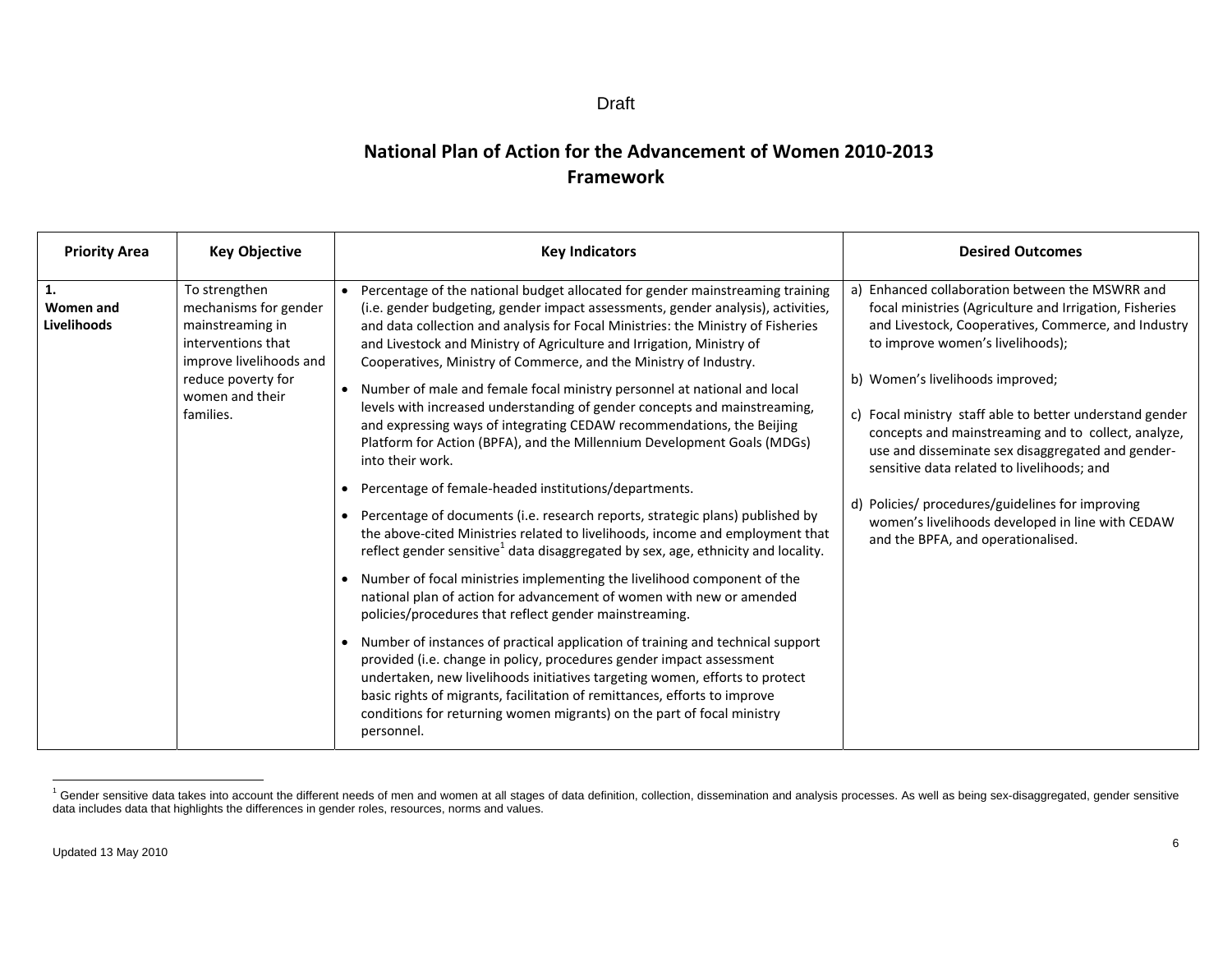#### Draft

## **National Plan of Action for the Advancement of Women 2010‐2013 Framework**

| <b>Priority Area</b>                  | <b>Key Objective</b>                                                                                                                                              | <b>Key Indicators</b>                                                                                                                                                                                                                                                                                                                                                                                                                                                                                                                                                                                                                                                                                                                                                                                                                                                                                                                                                                                                                                                                                                                                                                                                                                                                                                                                                                                                                                                                                                                                                                                                                                                                       | <b>Desired Outcomes</b>                                                                                                                                                                                                                                                                                                                                                                                                                                                                                                                                                                                          |
|---------------------------------------|-------------------------------------------------------------------------------------------------------------------------------------------------------------------|---------------------------------------------------------------------------------------------------------------------------------------------------------------------------------------------------------------------------------------------------------------------------------------------------------------------------------------------------------------------------------------------------------------------------------------------------------------------------------------------------------------------------------------------------------------------------------------------------------------------------------------------------------------------------------------------------------------------------------------------------------------------------------------------------------------------------------------------------------------------------------------------------------------------------------------------------------------------------------------------------------------------------------------------------------------------------------------------------------------------------------------------------------------------------------------------------------------------------------------------------------------------------------------------------------------------------------------------------------------------------------------------------------------------------------------------------------------------------------------------------------------------------------------------------------------------------------------------------------------------------------------------------------------------------------------------|------------------------------------------------------------------------------------------------------------------------------------------------------------------------------------------------------------------------------------------------------------------------------------------------------------------------------------------------------------------------------------------------------------------------------------------------------------------------------------------------------------------------------------------------------------------------------------------------------------------|
| 1.<br><b>Women and</b><br>Livelihoods | To strengthen<br>mechanisms for gender<br>mainstreaming in<br>interventions that<br>improve livelihoods and<br>reduce poverty for<br>women and their<br>families. | Percentage of the national budget allocated for gender mainstreaming training<br>(i.e. gender budgeting, gender impact assessments, gender analysis), activities,<br>and data collection and analysis for Focal Ministries: the Ministry of Fisheries<br>and Livestock and Ministry of Agriculture and Irrigation, Ministry of<br>Cooperatives, Ministry of Commerce, and the Ministry of Industry.<br>Number of male and female focal ministry personnel at national and local<br>levels with increased understanding of gender concepts and mainstreaming,<br>and expressing ways of integrating CEDAW recommendations, the Beijing<br>Platform for Action (BPFA), and the Millennium Development Goals (MDGs)<br>into their work.<br>Percentage of female-headed institutions/departments.<br>Percentage of documents (i.e. research reports, strategic plans) published by<br>the above-cited Ministries related to livelihoods, income and employment that<br>reflect gender sensitive <sup>1</sup> data disaggregated by sex, age, ethnicity and locality.<br>Number of focal ministries implementing the livelihood component of the<br>national plan of action for advancement of women with new or amended<br>policies/procedures that reflect gender mainstreaming.<br>Number of instances of practical application of training and technical support<br>provided (i.e. change in policy, procedures gender impact assessment<br>undertaken, new livelihoods initiatives targeting women, efforts to protect<br>basic rights of migrants, facilitation of remittances, efforts to improve<br>conditions for returning women migrants) on the part of focal ministry<br>personnel. | Enhanced collaboration between the MSWRR and<br>a)<br>focal ministries (Agriculture and Irrigation, Fisheries<br>and Livestock, Cooperatives, Commerce, and Industry<br>to improve women's livelihoods);<br>b) Women's livelihoods improved;<br>c) Focal ministry staff able to better understand gender<br>concepts and mainstreaming and to collect, analyze,<br>use and disseminate sex disaggregated and gender-<br>sensitive data related to livelihoods; and<br>d) Policies/ procedures/guidelines for improving<br>women's livelihoods developed in line with CEDAW<br>and the BPFA, and operationalised. |

<sup>&</sup>lt;sup>1</sup> Gender sensitive data takes into account the different needs of men and women at all stages of data definition, collection, dissemination and analysis processes. As well as being sex-disaggregated, gender sensitive data includes data that highlights the differences in gender roles, resources, norms and values.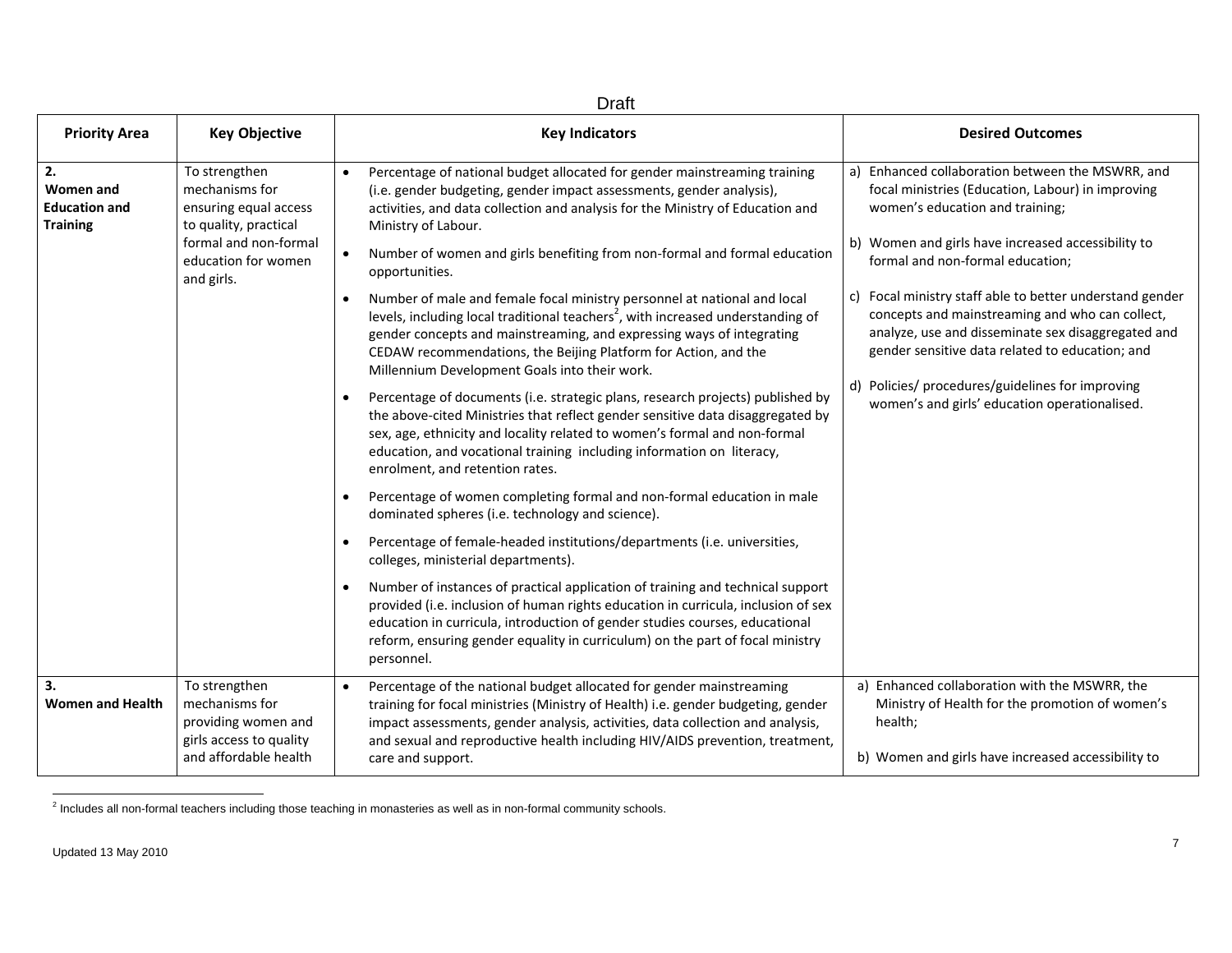| <b>Draft</b>                                                      |                                                                                                                                                 |                                                                                                                                                                                                                                                                                                                                                                                                                                                                                                                                                                                                                                                                                                                                                                                                                                                                                                                                                                                                                                                                                                                                                                                                                                                                                                                                                                                                                                                                                                                                                                                                                                                                                                                   |                                                                                                                                                                                                                                                                                                                                                                                                                                                                                                                                                                    |
|-------------------------------------------------------------------|-------------------------------------------------------------------------------------------------------------------------------------------------|-------------------------------------------------------------------------------------------------------------------------------------------------------------------------------------------------------------------------------------------------------------------------------------------------------------------------------------------------------------------------------------------------------------------------------------------------------------------------------------------------------------------------------------------------------------------------------------------------------------------------------------------------------------------------------------------------------------------------------------------------------------------------------------------------------------------------------------------------------------------------------------------------------------------------------------------------------------------------------------------------------------------------------------------------------------------------------------------------------------------------------------------------------------------------------------------------------------------------------------------------------------------------------------------------------------------------------------------------------------------------------------------------------------------------------------------------------------------------------------------------------------------------------------------------------------------------------------------------------------------------------------------------------------------------------------------------------------------|--------------------------------------------------------------------------------------------------------------------------------------------------------------------------------------------------------------------------------------------------------------------------------------------------------------------------------------------------------------------------------------------------------------------------------------------------------------------------------------------------------------------------------------------------------------------|
| <b>Priority Area</b>                                              | <b>Key Objective</b>                                                                                                                            | <b>Key Indicators</b>                                                                                                                                                                                                                                                                                                                                                                                                                                                                                                                                                                                                                                                                                                                                                                                                                                                                                                                                                                                                                                                                                                                                                                                                                                                                                                                                                                                                                                                                                                                                                                                                                                                                                             | <b>Desired Outcomes</b>                                                                                                                                                                                                                                                                                                                                                                                                                                                                                                                                            |
| 2.<br><b>Women and</b><br><b>Education and</b><br><b>Training</b> | To strengthen<br>mechanisms for<br>ensuring equal access<br>to quality, practical<br>formal and non-formal<br>education for women<br>and girls. | Percentage of national budget allocated for gender mainstreaming training<br>(i.e. gender budgeting, gender impact assessments, gender analysis),<br>activities, and data collection and analysis for the Ministry of Education and<br>Ministry of Labour.<br>Number of women and girls benefiting from non-formal and formal education<br>$\bullet$<br>opportunities.<br>Number of male and female focal ministry personnel at national and local<br>levels, including local traditional teachers <sup>2</sup> , with increased understanding of<br>gender concepts and mainstreaming, and expressing ways of integrating<br>CEDAW recommendations, the Beijing Platform for Action, and the<br>Millennium Development Goals into their work.<br>Percentage of documents (i.e. strategic plans, research projects) published by<br>the above-cited Ministries that reflect gender sensitive data disaggregated by<br>sex, age, ethnicity and locality related to women's formal and non-formal<br>education, and vocational training including information on literacy,<br>enrolment, and retention rates.<br>Percentage of women completing formal and non-formal education in male<br>dominated spheres (i.e. technology and science).<br>Percentage of female-headed institutions/departments (i.e. universities,<br>colleges, ministerial departments).<br>Number of instances of practical application of training and technical support<br>provided (i.e. inclusion of human rights education in curricula, inclusion of sex<br>education in curricula, introduction of gender studies courses, educational<br>reform, ensuring gender equality in curriculum) on the part of focal ministry<br>personnel. | Enhanced collaboration between the MSWRR, and<br>a)<br>focal ministries (Education, Labour) in improving<br>women's education and training;<br>b) Women and girls have increased accessibility to<br>formal and non-formal education;<br>c) Focal ministry staff able to better understand gender<br>concepts and mainstreaming and who can collect,<br>analyze, use and disseminate sex disaggregated and<br>gender sensitive data related to education; and<br>d) Policies/ procedures/guidelines for improving<br>women's and girls' education operationalised. |
| 3.<br><b>Women and Health</b>                                     | To strengthen<br>mechanisms for<br>providing women and<br>girls access to quality<br>and affordable health                                      | Percentage of the national budget allocated for gender mainstreaming<br>training for focal ministries (Ministry of Health) i.e. gender budgeting, gender<br>impact assessments, gender analysis, activities, data collection and analysis,<br>and sexual and reproductive health including HIV/AIDS prevention, treatment,<br>care and support.                                                                                                                                                                                                                                                                                                                                                                                                                                                                                                                                                                                                                                                                                                                                                                                                                                                                                                                                                                                                                                                                                                                                                                                                                                                                                                                                                                   | a) Enhanced collaboration with the MSWRR, the<br>Ministry of Health for the promotion of women's<br>health;<br>b) Women and girls have increased accessibility to                                                                                                                                                                                                                                                                                                                                                                                                  |

 $2$  Includes all non-formal teachers including those teaching in monasteries as well as in non-formal community schools.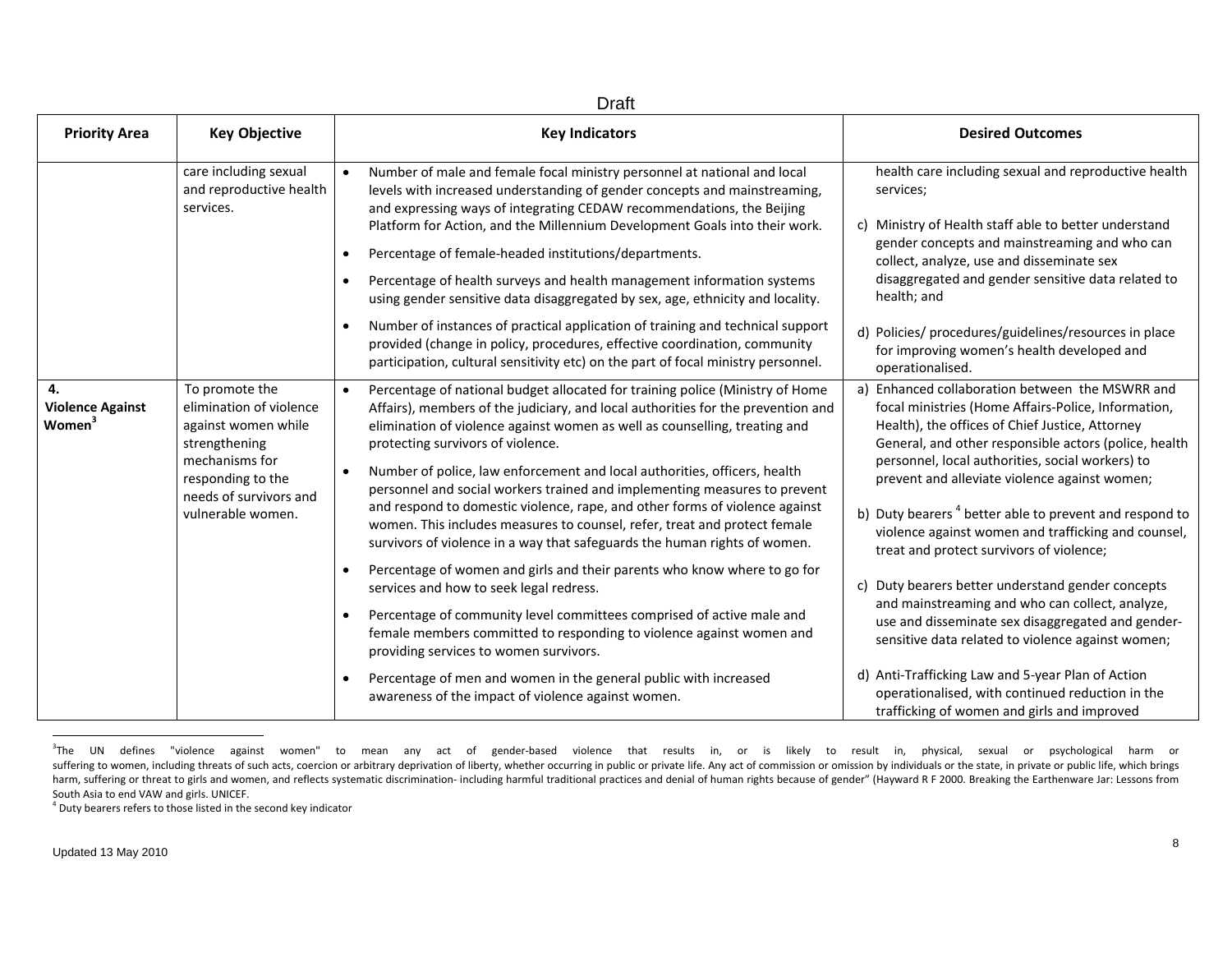| Draft                                                      |                                                                                                                                                                         |                                                                                                                                                                                                                                                                                                                                                                                                                                                                                                                                                                                                                                  |                                                                                                                                                                                                                                                                                               |
|------------------------------------------------------------|-------------------------------------------------------------------------------------------------------------------------------------------------------------------------|----------------------------------------------------------------------------------------------------------------------------------------------------------------------------------------------------------------------------------------------------------------------------------------------------------------------------------------------------------------------------------------------------------------------------------------------------------------------------------------------------------------------------------------------------------------------------------------------------------------------------------|-----------------------------------------------------------------------------------------------------------------------------------------------------------------------------------------------------------------------------------------------------------------------------------------------|
| <b>Priority Area</b>                                       | <b>Key Objective</b>                                                                                                                                                    | <b>Key Indicators</b>                                                                                                                                                                                                                                                                                                                                                                                                                                                                                                                                                                                                            | <b>Desired Outcomes</b>                                                                                                                                                                                                                                                                       |
|                                                            | care including sexual<br>and reproductive health<br>services.                                                                                                           | Number of male and female focal ministry personnel at national and local<br>levels with increased understanding of gender concepts and mainstreaming,<br>and expressing ways of integrating CEDAW recommendations, the Beijing<br>Platform for Action, and the Millennium Development Goals into their work.<br>Percentage of female-headed institutions/departments.<br>Percentage of health surveys and health management information systems<br>$\bullet$<br>using gender sensitive data disaggregated by sex, age, ethnicity and locality.<br>Number of instances of practical application of training and technical support | health care including sexual and reproductive health<br>services;<br>c) Ministry of Health staff able to better understand<br>gender concepts and mainstreaming and who can<br>collect, analyze, use and disseminate sex<br>disaggregated and gender sensitive data related to<br>health; and |
|                                                            |                                                                                                                                                                         | provided (change in policy, procedures, effective coordination, community<br>participation, cultural sensitivity etc) on the part of focal ministry personnel.                                                                                                                                                                                                                                                                                                                                                                                                                                                                   | d) Policies/ procedures/guidelines/resources in place<br>for improving women's health developed and<br>operationalised.                                                                                                                                                                       |
| 4.<br><b>Violence Against</b><br><b>Women</b> <sup>3</sup> | To promote the<br>elimination of violence<br>against women while<br>strengthening<br>mechanisms for<br>responding to the<br>needs of survivors and<br>vulnerable women. | Percentage of national budget allocated for training police (Ministry of Home<br>$\bullet$<br>Affairs), members of the judiciary, and local authorities for the prevention and<br>elimination of violence against women as well as counselling, treating and<br>protecting survivors of violence.                                                                                                                                                                                                                                                                                                                                | a) Enhanced collaboration between the MSWRR and<br>focal ministries (Home Affairs-Police, Information,<br>Health), the offices of Chief Justice, Attorney<br>General, and other responsible actors (police, health                                                                            |
|                                                            |                                                                                                                                                                         | Number of police, law enforcement and local authorities, officers, health<br>personnel and social workers trained and implementing measures to prevent<br>and respond to domestic violence, rape, and other forms of violence against<br>women. This includes measures to counsel, refer, treat and protect female<br>survivors of violence in a way that safeguards the human rights of women.                                                                                                                                                                                                                                  | personnel, local authorities, social workers) to<br>prevent and alleviate violence against women;<br>b) Duty bearers <sup>4</sup> better able to prevent and respond to<br>violence against women and trafficking and counsel,<br>treat and protect survivors of violence;                    |
|                                                            |                                                                                                                                                                         | Percentage of women and girls and their parents who know where to go for<br>services and how to seek legal redress.                                                                                                                                                                                                                                                                                                                                                                                                                                                                                                              | c) Duty bearers better understand gender concepts<br>and mainstreaming and who can collect, analyze,                                                                                                                                                                                          |
|                                                            |                                                                                                                                                                         | Percentage of community level committees comprised of active male and<br>female members committed to responding to violence against women and<br>providing services to women survivors.                                                                                                                                                                                                                                                                                                                                                                                                                                          | use and disseminate sex disaggregated and gender-<br>sensitive data related to violence against women;                                                                                                                                                                                        |
|                                                            |                                                                                                                                                                         | Percentage of men and women in the general public with increased<br>awareness of the impact of violence against women.                                                                                                                                                                                                                                                                                                                                                                                                                                                                                                           | d) Anti-Trafficking Law and 5-year Plan of Action<br>operationalised, with continued reduction in the<br>trafficking of women and girls and improved                                                                                                                                          |

<sup>&</sup>lt;sup>3</sup>The UN defines "violence against women" to mean any act of gender‐based violence that results in, or is likely to result in, physical, sexual or psychological harm or suffering to women, including threats of such acts, coercion or arbitrary deprivation of liberty, whether occurring in public or private life. Any act of commission or omission by individuals or the state, in private or pu harm, suffering or threat to girls and women, and reflects systematic discrimination- including harmful traditional practices and denial of human rights because of gender" (Hayward R F 2000. Breaking the Earthenware Jar: L South Asia to end VAW and girls. UNICEF.

 $4$  Duty bearers refers to those listed in the second key indicator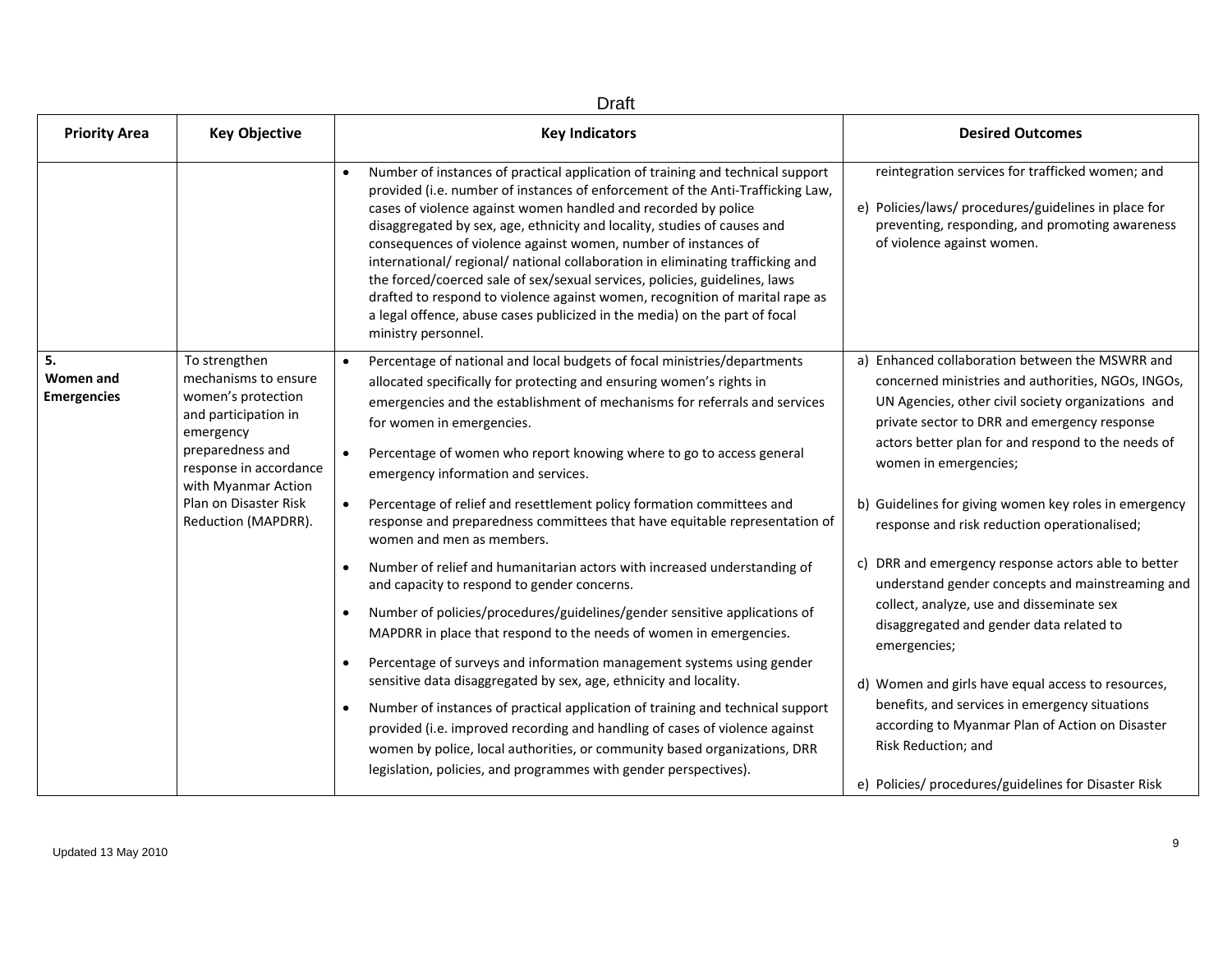| <b>Priority Area</b>                  | <b>Key Objective</b>                                                                                                                                                                                                  | <b>Key Indicators</b>                                                                                                                                                                                                                                                                                                                                                                                                                                                                                                                                                                                                                                                                                                                 | <b>Desired Outcomes</b>                                                                                                                                                                                                                                                                    |
|---------------------------------------|-----------------------------------------------------------------------------------------------------------------------------------------------------------------------------------------------------------------------|---------------------------------------------------------------------------------------------------------------------------------------------------------------------------------------------------------------------------------------------------------------------------------------------------------------------------------------------------------------------------------------------------------------------------------------------------------------------------------------------------------------------------------------------------------------------------------------------------------------------------------------------------------------------------------------------------------------------------------------|--------------------------------------------------------------------------------------------------------------------------------------------------------------------------------------------------------------------------------------------------------------------------------------------|
|                                       |                                                                                                                                                                                                                       | Number of instances of practical application of training and technical support<br>provided (i.e. number of instances of enforcement of the Anti-Trafficking Law,<br>cases of violence against women handled and recorded by police<br>disaggregated by sex, age, ethnicity and locality, studies of causes and<br>consequences of violence against women, number of instances of<br>international/ regional/ national collaboration in eliminating trafficking and<br>the forced/coerced sale of sex/sexual services, policies, guidelines, laws<br>drafted to respond to violence against women, recognition of marital rape as<br>a legal offence, abuse cases publicized in the media) on the part of focal<br>ministry personnel. | reintegration services for trafficked women; and<br>e) Policies/laws/ procedures/guidelines in place for<br>preventing, responding, and promoting awareness<br>of violence against women.                                                                                                  |
| 5.<br>Women and<br><b>Emergencies</b> | To strengthen<br>mechanisms to ensure<br>women's protection<br>and participation in<br>emergency<br>preparedness and<br>response in accordance<br>with Myanmar Action<br>Plan on Disaster Risk<br>Reduction (MAPDRR). | Percentage of national and local budgets of focal ministries/departments<br>allocated specifically for protecting and ensuring women's rights in<br>emergencies and the establishment of mechanisms for referrals and services<br>for women in emergencies.<br>Percentage of women who report knowing where to go to access general<br>emergency information and services.                                                                                                                                                                                                                                                                                                                                                            | a) Enhanced collaboration between the MSWRR and<br>concerned ministries and authorities, NGOs, INGOs,<br>UN Agencies, other civil society organizations and<br>private sector to DRR and emergency response<br>actors better plan for and respond to the needs of<br>women in emergencies; |
|                                       |                                                                                                                                                                                                                       | Percentage of relief and resettlement policy formation committees and<br>response and preparedness committees that have equitable representation of<br>women and men as members.                                                                                                                                                                                                                                                                                                                                                                                                                                                                                                                                                      | b) Guidelines for giving women key roles in emergency<br>response and risk reduction operationalised;                                                                                                                                                                                      |
|                                       |                                                                                                                                                                                                                       | Number of relief and humanitarian actors with increased understanding of<br>and capacity to respond to gender concerns.                                                                                                                                                                                                                                                                                                                                                                                                                                                                                                                                                                                                               | c) DRR and emergency response actors able to better<br>understand gender concepts and mainstreaming and                                                                                                                                                                                    |
|                                       |                                                                                                                                                                                                                       | Number of policies/procedures/guidelines/gender sensitive applications of<br>MAPDRR in place that respond to the needs of women in emergencies.                                                                                                                                                                                                                                                                                                                                                                                                                                                                                                                                                                                       | collect, analyze, use and disseminate sex<br>disaggregated and gender data related to<br>emergencies;                                                                                                                                                                                      |
|                                       |                                                                                                                                                                                                                       | Percentage of surveys and information management systems using gender<br>sensitive data disaggregated by sex, age, ethnicity and locality.                                                                                                                                                                                                                                                                                                                                                                                                                                                                                                                                                                                            | d) Women and girls have equal access to resources,                                                                                                                                                                                                                                         |
|                                       |                                                                                                                                                                                                                       | Number of instances of practical application of training and technical support<br>provided (i.e. improved recording and handling of cases of violence against<br>women by police, local authorities, or community based organizations, DRR<br>legislation, policies, and programmes with gender perspectives).                                                                                                                                                                                                                                                                                                                                                                                                                        | benefits, and services in emergency situations<br>according to Myanmar Plan of Action on Disaster<br>Risk Reduction; and                                                                                                                                                                   |
|                                       |                                                                                                                                                                                                                       |                                                                                                                                                                                                                                                                                                                                                                                                                                                                                                                                                                                                                                                                                                                                       | e) Policies/ procedures/guidelines for Disaster Risk                                                                                                                                                                                                                                       |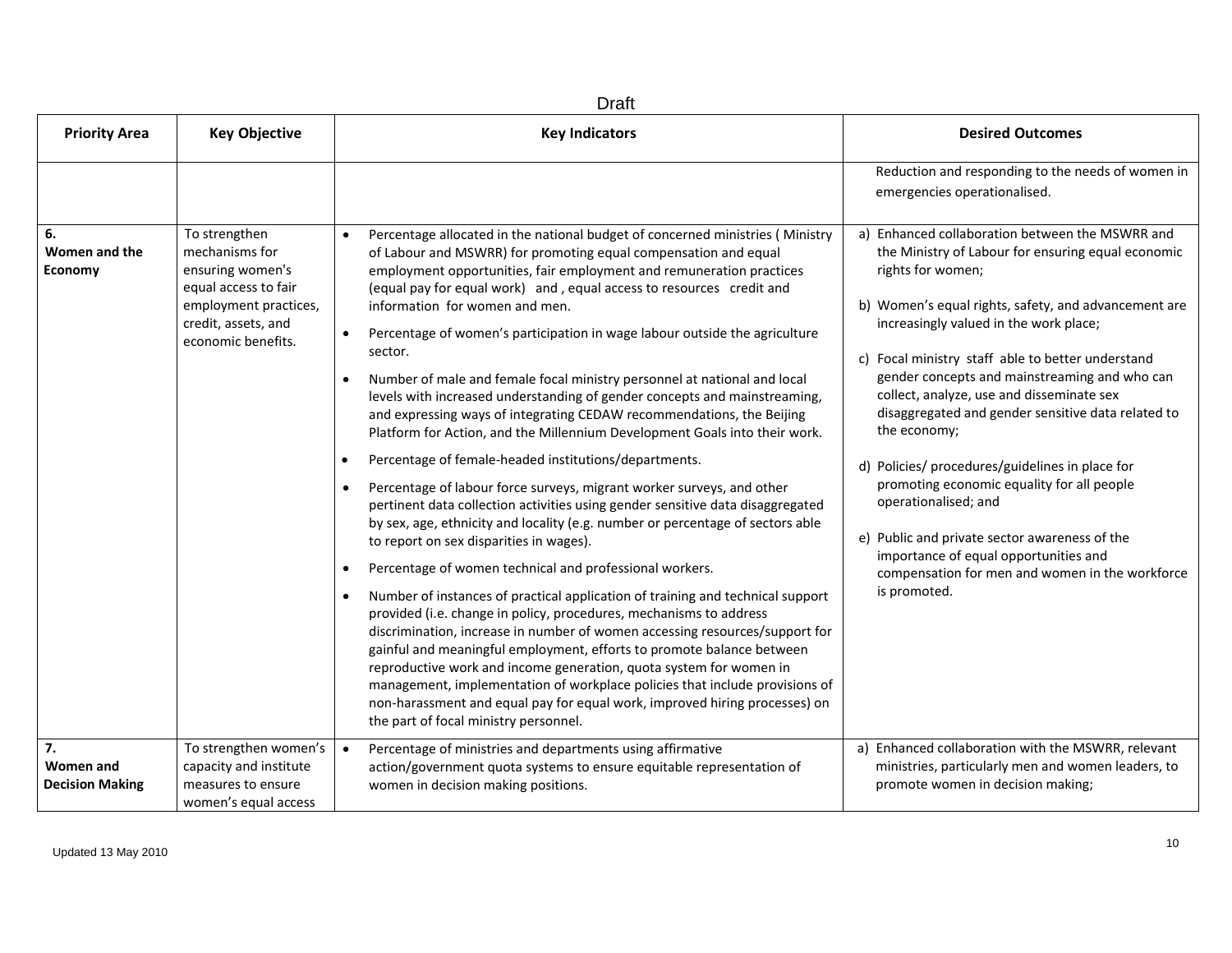| <b>Draft</b>                              |                                                                                                                                                   |                                                                                                                                                                                                                                                                                                                                                                                                                                                                                                                                                                                                                                                                                                                                                                                                                                                                                                                                                                                                                                                                                                                                                                                                                                                                                                                                                                                                                                                                                                                                                                                                                                                                                                                                                                               |                                                                                                                                                                                                                                                                                                                                                                                                                                                                                                                                                                                                                                                                                                                                             |
|-------------------------------------------|---------------------------------------------------------------------------------------------------------------------------------------------------|-------------------------------------------------------------------------------------------------------------------------------------------------------------------------------------------------------------------------------------------------------------------------------------------------------------------------------------------------------------------------------------------------------------------------------------------------------------------------------------------------------------------------------------------------------------------------------------------------------------------------------------------------------------------------------------------------------------------------------------------------------------------------------------------------------------------------------------------------------------------------------------------------------------------------------------------------------------------------------------------------------------------------------------------------------------------------------------------------------------------------------------------------------------------------------------------------------------------------------------------------------------------------------------------------------------------------------------------------------------------------------------------------------------------------------------------------------------------------------------------------------------------------------------------------------------------------------------------------------------------------------------------------------------------------------------------------------------------------------------------------------------------------------|---------------------------------------------------------------------------------------------------------------------------------------------------------------------------------------------------------------------------------------------------------------------------------------------------------------------------------------------------------------------------------------------------------------------------------------------------------------------------------------------------------------------------------------------------------------------------------------------------------------------------------------------------------------------------------------------------------------------------------------------|
| <b>Priority Area</b>                      | <b>Key Objective</b>                                                                                                                              | <b>Key Indicators</b>                                                                                                                                                                                                                                                                                                                                                                                                                                                                                                                                                                                                                                                                                                                                                                                                                                                                                                                                                                                                                                                                                                                                                                                                                                                                                                                                                                                                                                                                                                                                                                                                                                                                                                                                                         | <b>Desired Outcomes</b>                                                                                                                                                                                                                                                                                                                                                                                                                                                                                                                                                                                                                                                                                                                     |
|                                           |                                                                                                                                                   |                                                                                                                                                                                                                                                                                                                                                                                                                                                                                                                                                                                                                                                                                                                                                                                                                                                                                                                                                                                                                                                                                                                                                                                                                                                                                                                                                                                                                                                                                                                                                                                                                                                                                                                                                                               | Reduction and responding to the needs of women in<br>emergencies operationalised.                                                                                                                                                                                                                                                                                                                                                                                                                                                                                                                                                                                                                                                           |
| 6.<br>Women and the<br>Economy            | To strengthen<br>mechanisms for<br>ensuring women's<br>equal access to fair<br>employment practices,<br>credit, assets, and<br>economic benefits. | Percentage allocated in the national budget of concerned ministries (Ministry<br>of Labour and MSWRR) for promoting equal compensation and equal<br>employment opportunities, fair employment and remuneration practices<br>(equal pay for equal work) and, equal access to resources credit and<br>information for women and men.<br>Percentage of women's participation in wage labour outside the agriculture<br>sector.<br>Number of male and female focal ministry personnel at national and local<br>levels with increased understanding of gender concepts and mainstreaming,<br>and expressing ways of integrating CEDAW recommendations, the Beijing<br>Platform for Action, and the Millennium Development Goals into their work.<br>Percentage of female-headed institutions/departments.<br>Percentage of labour force surveys, migrant worker surveys, and other<br>pertinent data collection activities using gender sensitive data disaggregated<br>by sex, age, ethnicity and locality (e.g. number or percentage of sectors able<br>to report on sex disparities in wages).<br>Percentage of women technical and professional workers.<br>$\bullet$<br>Number of instances of practical application of training and technical support<br>$\bullet$<br>provided (i.e. change in policy, procedures, mechanisms to address<br>discrimination, increase in number of women accessing resources/support for<br>gainful and meaningful employment, efforts to promote balance between<br>reproductive work and income generation, quota system for women in<br>management, implementation of workplace policies that include provisions of<br>non-harassment and equal pay for equal work, improved hiring processes) on<br>the part of focal ministry personnel. | a) Enhanced collaboration between the MSWRR and<br>the Ministry of Labour for ensuring equal economic<br>rights for women;<br>b) Women's equal rights, safety, and advancement are<br>increasingly valued in the work place;<br>c) Focal ministry staff able to better understand<br>gender concepts and mainstreaming and who can<br>collect, analyze, use and disseminate sex<br>disaggregated and gender sensitive data related to<br>the economy;<br>d) Policies/ procedures/guidelines in place for<br>promoting economic equality for all people<br>operationalised; and<br>e) Public and private sector awareness of the<br>importance of equal opportunities and<br>compensation for men and women in the workforce<br>is promoted. |
| 7.<br>Women and<br><b>Decision Making</b> | To strengthen women's<br>capacity and institute<br>measures to ensure<br>women's equal access                                                     | Percentage of ministries and departments using affirmative<br>$\bullet$<br>action/government quota systems to ensure equitable representation of<br>women in decision making positions.                                                                                                                                                                                                                                                                                                                                                                                                                                                                                                                                                                                                                                                                                                                                                                                                                                                                                                                                                                                                                                                                                                                                                                                                                                                                                                                                                                                                                                                                                                                                                                                       | a) Enhanced collaboration with the MSWRR, relevant<br>ministries, particularly men and women leaders, to<br>promote women in decision making;                                                                                                                                                                                                                                                                                                                                                                                                                                                                                                                                                                                               |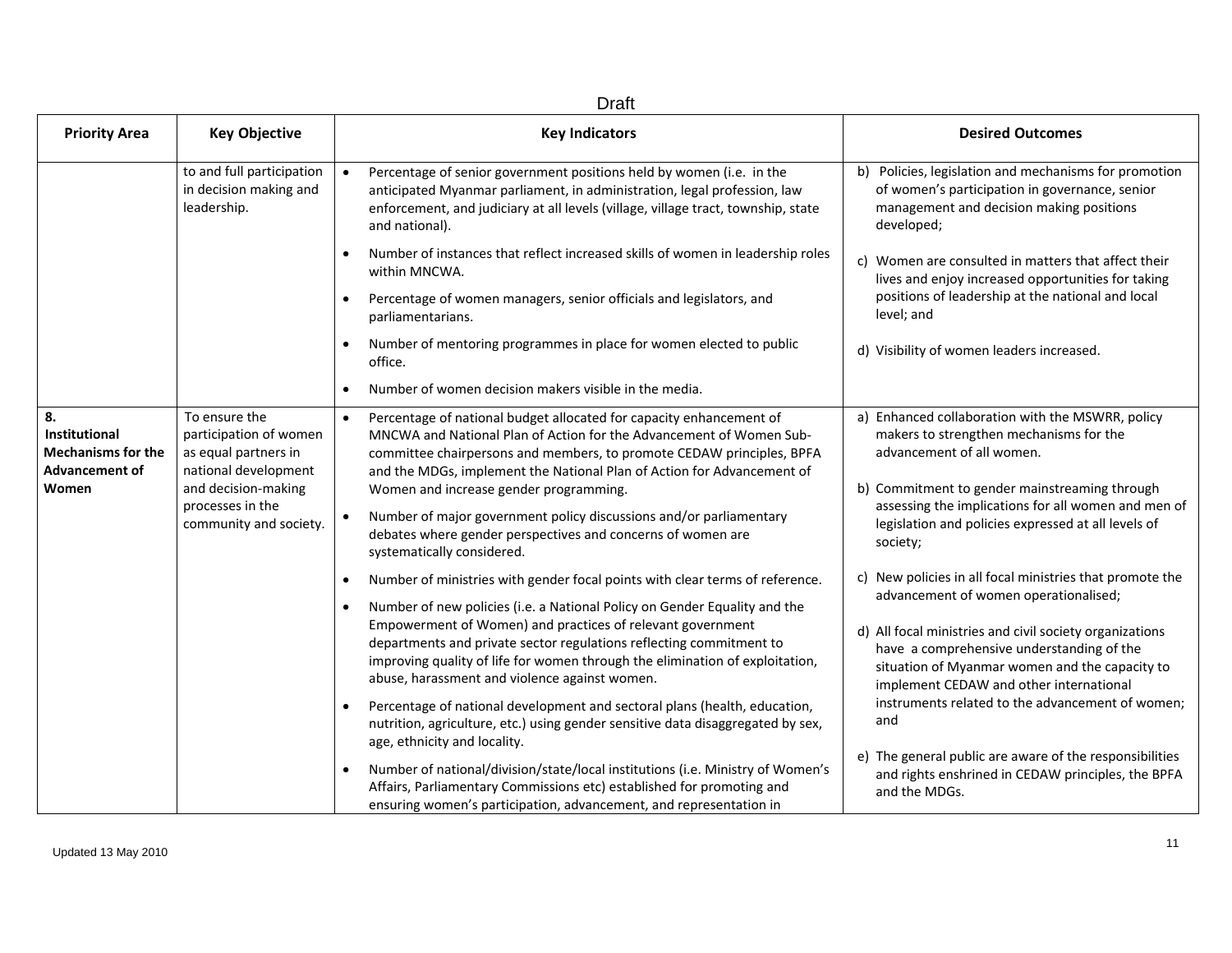| <b>Draft</b>                                                                              |                                                                                                                                                              |                                                                                                                                                                                                                                                                                                                                                                                                                                                                                                                                                                                                                                                                                                                                                                                                                                                                                                                                                                                                                                                                                                                                                                                                                                                                                                                                    |                                                                                                                                                                                                                                                                                                                                                                                                                                                                                                                                                                                                                                                                                                                                                                                                            |
|-------------------------------------------------------------------------------------------|--------------------------------------------------------------------------------------------------------------------------------------------------------------|------------------------------------------------------------------------------------------------------------------------------------------------------------------------------------------------------------------------------------------------------------------------------------------------------------------------------------------------------------------------------------------------------------------------------------------------------------------------------------------------------------------------------------------------------------------------------------------------------------------------------------------------------------------------------------------------------------------------------------------------------------------------------------------------------------------------------------------------------------------------------------------------------------------------------------------------------------------------------------------------------------------------------------------------------------------------------------------------------------------------------------------------------------------------------------------------------------------------------------------------------------------------------------------------------------------------------------|------------------------------------------------------------------------------------------------------------------------------------------------------------------------------------------------------------------------------------------------------------------------------------------------------------------------------------------------------------------------------------------------------------------------------------------------------------------------------------------------------------------------------------------------------------------------------------------------------------------------------------------------------------------------------------------------------------------------------------------------------------------------------------------------------------|
| <b>Priority Area</b>                                                                      | <b>Key Objective</b>                                                                                                                                         | <b>Key Indicators</b>                                                                                                                                                                                                                                                                                                                                                                                                                                                                                                                                                                                                                                                                                                                                                                                                                                                                                                                                                                                                                                                                                                                                                                                                                                                                                                              | <b>Desired Outcomes</b>                                                                                                                                                                                                                                                                                                                                                                                                                                                                                                                                                                                                                                                                                                                                                                                    |
|                                                                                           | to and full participation<br>in decision making and<br>leadership.                                                                                           | Percentage of senior government positions held by women (i.e. in the<br>$\bullet$<br>anticipated Myanmar parliament, in administration, legal profession, law<br>enforcement, and judiciary at all levels (village, village tract, township, state<br>and national).                                                                                                                                                                                                                                                                                                                                                                                                                                                                                                                                                                                                                                                                                                                                                                                                                                                                                                                                                                                                                                                               | b) Policies, legislation and mechanisms for promotion<br>of women's participation in governance, senior<br>management and decision making positions<br>developed;                                                                                                                                                                                                                                                                                                                                                                                                                                                                                                                                                                                                                                          |
|                                                                                           |                                                                                                                                                              | Number of instances that reflect increased skills of women in leadership roles<br>within MNCWA.<br>Percentage of women managers, senior officials and legislators, and<br>$\bullet$<br>parliamentarians.                                                                                                                                                                                                                                                                                                                                                                                                                                                                                                                                                                                                                                                                                                                                                                                                                                                                                                                                                                                                                                                                                                                           | c) Women are consulted in matters that affect their<br>lives and enjoy increased opportunities for taking<br>positions of leadership at the national and local<br>level; and                                                                                                                                                                                                                                                                                                                                                                                                                                                                                                                                                                                                                               |
|                                                                                           |                                                                                                                                                              | Number of mentoring programmes in place for women elected to public<br>office.<br>Number of women decision makers visible in the media.                                                                                                                                                                                                                                                                                                                                                                                                                                                                                                                                                                                                                                                                                                                                                                                                                                                                                                                                                                                                                                                                                                                                                                                            | d) Visibility of women leaders increased.                                                                                                                                                                                                                                                                                                                                                                                                                                                                                                                                                                                                                                                                                                                                                                  |
| 8.<br><b>Institutional</b><br><b>Mechanisms for the</b><br><b>Advancement of</b><br>Women | To ensure the<br>participation of women<br>as equal partners in<br>national development<br>and decision-making<br>processes in the<br>community and society. | Percentage of national budget allocated for capacity enhancement of<br>$\bullet$<br>MNCWA and National Plan of Action for the Advancement of Women Sub-<br>committee chairpersons and members, to promote CEDAW principles, BPFA<br>and the MDGs, implement the National Plan of Action for Advancement of<br>Women and increase gender programming.<br>Number of major government policy discussions and/or parliamentary<br>$\bullet$<br>debates where gender perspectives and concerns of women are<br>systematically considered.<br>Number of ministries with gender focal points with clear terms of reference.<br>Number of new policies (i.e. a National Policy on Gender Equality and the<br>Empowerment of Women) and practices of relevant government<br>departments and private sector regulations reflecting commitment to<br>improving quality of life for women through the elimination of exploitation,<br>abuse, harassment and violence against women.<br>Percentage of national development and sectoral plans (health, education,<br>nutrition, agriculture, etc.) using gender sensitive data disaggregated by sex,<br>age, ethnicity and locality.<br>Number of national/division/state/local institutions (i.e. Ministry of Women's<br>Affairs, Parliamentary Commissions etc) established for promoting and | a) Enhanced collaboration with the MSWRR, policy<br>makers to strengthen mechanisms for the<br>advancement of all women.<br>b) Commitment to gender mainstreaming through<br>assessing the implications for all women and men of<br>legislation and policies expressed at all levels of<br>society;<br>c) New policies in all focal ministries that promote the<br>advancement of women operationalised;<br>d) All focal ministries and civil society organizations<br>have a comprehensive understanding of the<br>situation of Myanmar women and the capacity to<br>implement CEDAW and other international<br>instruments related to the advancement of women:<br>and<br>e) The general public are aware of the responsibilities<br>and rights enshrined in CEDAW principles, the BPFA<br>and the MDGs. |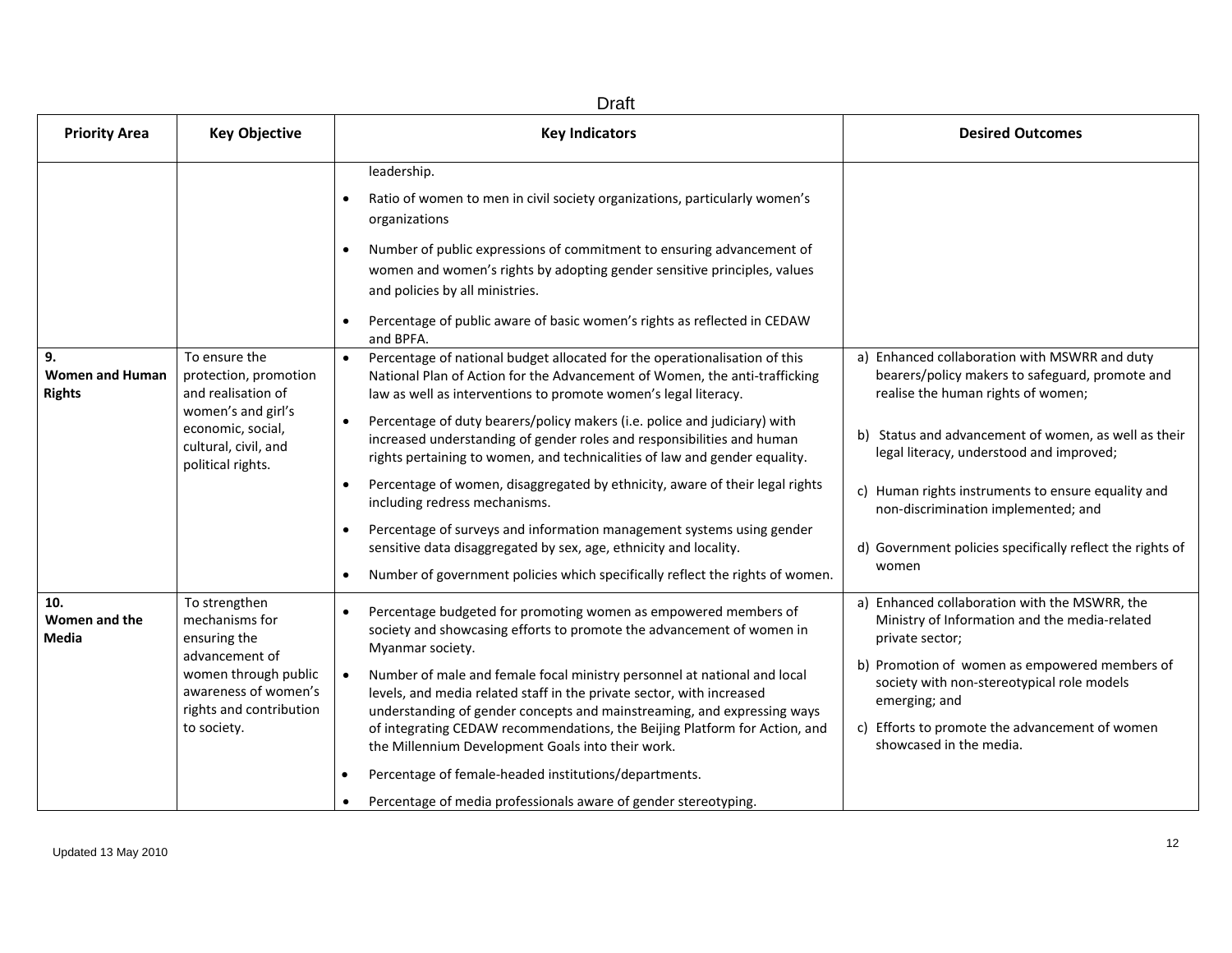| <b>Draft</b>                                  |                                                                                                                                                             |                                                                                                                                                                                                                                                                                                                                                                                                                                                                                                                                                                                                                                                                                                                                                                                                                                            |                                                                                                                                                                                                                                                                                                                                                                                                               |
|-----------------------------------------------|-------------------------------------------------------------------------------------------------------------------------------------------------------------|--------------------------------------------------------------------------------------------------------------------------------------------------------------------------------------------------------------------------------------------------------------------------------------------------------------------------------------------------------------------------------------------------------------------------------------------------------------------------------------------------------------------------------------------------------------------------------------------------------------------------------------------------------------------------------------------------------------------------------------------------------------------------------------------------------------------------------------------|---------------------------------------------------------------------------------------------------------------------------------------------------------------------------------------------------------------------------------------------------------------------------------------------------------------------------------------------------------------------------------------------------------------|
| <b>Priority Area</b>                          | <b>Key Objective</b>                                                                                                                                        | <b>Key Indicators</b>                                                                                                                                                                                                                                                                                                                                                                                                                                                                                                                                                                                                                                                                                                                                                                                                                      | <b>Desired Outcomes</b>                                                                                                                                                                                                                                                                                                                                                                                       |
|                                               |                                                                                                                                                             | leadership.<br>Ratio of women to men in civil society organizations, particularly women's<br>organizations<br>Number of public expressions of commitment to ensuring advancement of<br>$\bullet$<br>women and women's rights by adopting gender sensitive principles, values<br>and policies by all ministries.<br>Percentage of public aware of basic women's rights as reflected in CEDAW<br>and BPFA.                                                                                                                                                                                                                                                                                                                                                                                                                                   |                                                                                                                                                                                                                                                                                                                                                                                                               |
| 9.<br><b>Women and Human</b><br><b>Rights</b> | To ensure the<br>protection, promotion<br>and realisation of<br>women's and girl's<br>economic, social,<br>cultural, civil, and<br>political rights.        | Percentage of national budget allocated for the operationalisation of this<br>National Plan of Action for the Advancement of Women, the anti-trafficking<br>law as well as interventions to promote women's legal literacy.<br>Percentage of duty bearers/policy makers (i.e. police and judiciary) with<br>increased understanding of gender roles and responsibilities and human<br>rights pertaining to women, and technicalities of law and gender equality.<br>Percentage of women, disaggregated by ethnicity, aware of their legal rights<br>$\bullet$<br>including redress mechanisms.<br>Percentage of surveys and information management systems using gender<br>sensitive data disaggregated by sex, age, ethnicity and locality.<br>Number of government policies which specifically reflect the rights of women.<br>$\bullet$ | a) Enhanced collaboration with MSWRR and duty<br>bearers/policy makers to safeguard, promote and<br>realise the human rights of women;<br>b) Status and advancement of women, as well as their<br>legal literacy, understood and improved;<br>c) Human rights instruments to ensure equality and<br>non-discrimination implemented; and<br>d) Government policies specifically reflect the rights of<br>women |
| 10.<br>Women and the<br>Media                 | To strengthen<br>mechanisms for<br>ensuring the<br>advancement of<br>women through public<br>awareness of women's<br>rights and contribution<br>to society. | Percentage budgeted for promoting women as empowered members of<br>society and showcasing efforts to promote the advancement of women in<br>Myanmar society.<br>Number of male and female focal ministry personnel at national and local<br>$\bullet$<br>levels, and media related staff in the private sector, with increased<br>understanding of gender concepts and mainstreaming, and expressing ways<br>of integrating CEDAW recommendations, the Beijing Platform for Action, and<br>the Millennium Development Goals into their work.<br>Percentage of female-headed institutions/departments.<br>Percentage of media professionals aware of gender stereotyping.                                                                                                                                                                   | a) Enhanced collaboration with the MSWRR, the<br>Ministry of Information and the media-related<br>private sector;<br>b) Promotion of women as empowered members of<br>society with non-stereotypical role models<br>emerging; and<br>c) Efforts to promote the advancement of women<br>showcased in the media.                                                                                                |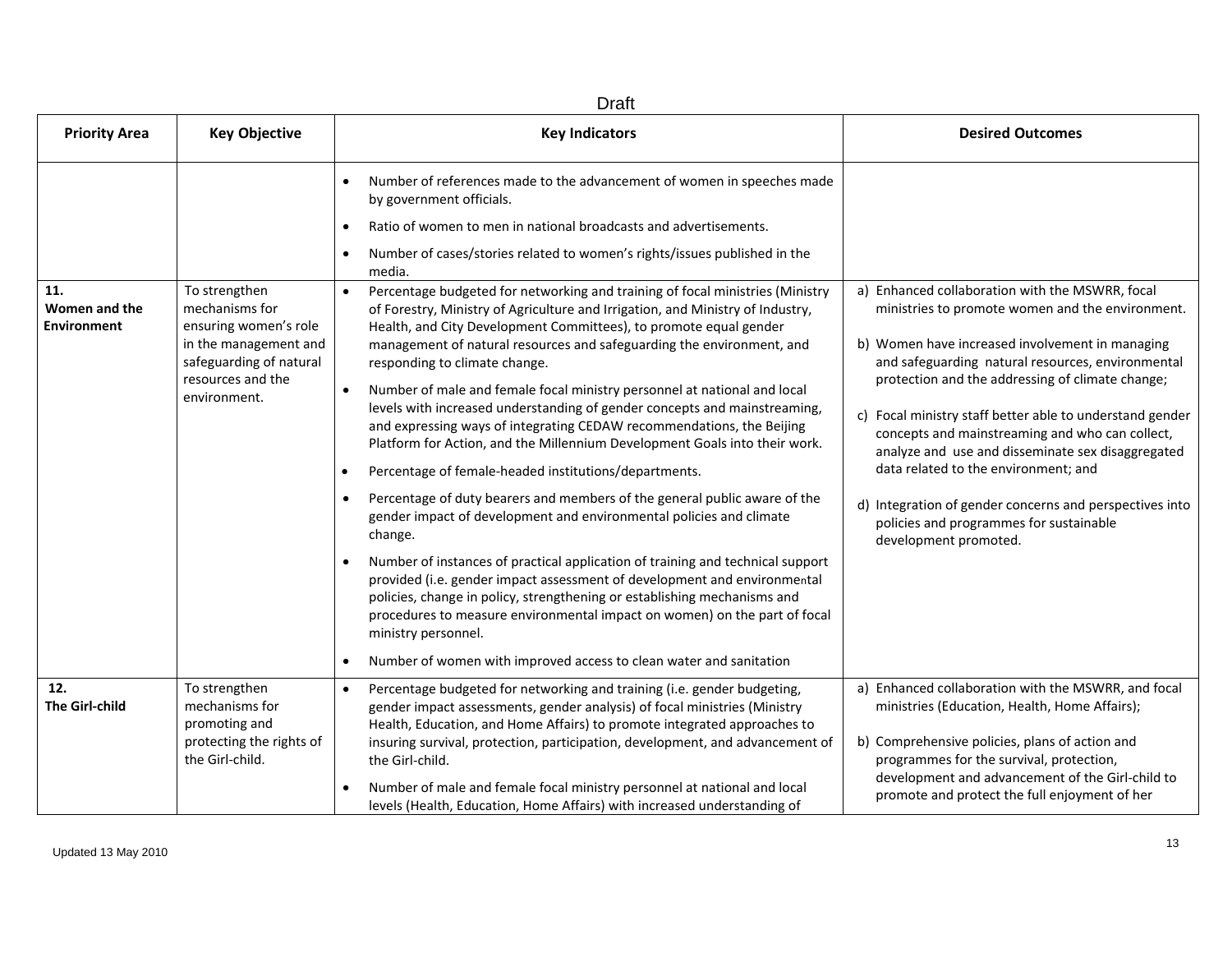| <b>Draft</b>                               |                                                                                                                                                   |                                                                                                                                                                                                                                                                                                                                                                                                                                                                                                                                                                                                                                                                                                                                                                                                                                                                                                                                                                                                                                                                                                                                                                                                                                                                                                                         |                                                                                                                                                                                                                                                                                                                                                                                                                                                                                                                                                                                                            |
|--------------------------------------------|---------------------------------------------------------------------------------------------------------------------------------------------------|-------------------------------------------------------------------------------------------------------------------------------------------------------------------------------------------------------------------------------------------------------------------------------------------------------------------------------------------------------------------------------------------------------------------------------------------------------------------------------------------------------------------------------------------------------------------------------------------------------------------------------------------------------------------------------------------------------------------------------------------------------------------------------------------------------------------------------------------------------------------------------------------------------------------------------------------------------------------------------------------------------------------------------------------------------------------------------------------------------------------------------------------------------------------------------------------------------------------------------------------------------------------------------------------------------------------------|------------------------------------------------------------------------------------------------------------------------------------------------------------------------------------------------------------------------------------------------------------------------------------------------------------------------------------------------------------------------------------------------------------------------------------------------------------------------------------------------------------------------------------------------------------------------------------------------------------|
| <b>Priority Area</b>                       | <b>Key Objective</b>                                                                                                                              | <b>Key Indicators</b>                                                                                                                                                                                                                                                                                                                                                                                                                                                                                                                                                                                                                                                                                                                                                                                                                                                                                                                                                                                                                                                                                                                                                                                                                                                                                                   | <b>Desired Outcomes</b>                                                                                                                                                                                                                                                                                                                                                                                                                                                                                                                                                                                    |
|                                            |                                                                                                                                                   | Number of references made to the advancement of women in speeches made<br>by government officials.                                                                                                                                                                                                                                                                                                                                                                                                                                                                                                                                                                                                                                                                                                                                                                                                                                                                                                                                                                                                                                                                                                                                                                                                                      |                                                                                                                                                                                                                                                                                                                                                                                                                                                                                                                                                                                                            |
|                                            |                                                                                                                                                   | Ratio of women to men in national broadcasts and advertisements.                                                                                                                                                                                                                                                                                                                                                                                                                                                                                                                                                                                                                                                                                                                                                                                                                                                                                                                                                                                                                                                                                                                                                                                                                                                        |                                                                                                                                                                                                                                                                                                                                                                                                                                                                                                                                                                                                            |
|                                            |                                                                                                                                                   | Number of cases/stories related to women's rights/issues published in the<br>media.                                                                                                                                                                                                                                                                                                                                                                                                                                                                                                                                                                                                                                                                                                                                                                                                                                                                                                                                                                                                                                                                                                                                                                                                                                     |                                                                                                                                                                                                                                                                                                                                                                                                                                                                                                                                                                                                            |
| 11.<br>Women and the<br><b>Environment</b> | To strengthen<br>mechanisms for<br>ensuring women's role<br>in the management and<br>safeguarding of natural<br>resources and the<br>environment. | Percentage budgeted for networking and training of focal ministries (Ministry<br>of Forestry, Ministry of Agriculture and Irrigation, and Ministry of Industry,<br>Health, and City Development Committees), to promote equal gender<br>management of natural resources and safeguarding the environment, and<br>responding to climate change.<br>Number of male and female focal ministry personnel at national and local<br>levels with increased understanding of gender concepts and mainstreaming,<br>and expressing ways of integrating CEDAW recommendations, the Beijing<br>Platform for Action, and the Millennium Development Goals into their work.<br>Percentage of female-headed institutions/departments.<br>Percentage of duty bearers and members of the general public aware of the<br>$\bullet$<br>gender impact of development and environmental policies and climate<br>change.<br>Number of instances of practical application of training and technical support<br>provided (i.e. gender impact assessment of development and environmental<br>policies, change in policy, strengthening or establishing mechanisms and<br>procedures to measure environmental impact on women) on the part of focal<br>ministry personnel.<br>Number of women with improved access to clean water and sanitation | a) Enhanced collaboration with the MSWRR, focal<br>ministries to promote women and the environment.<br>b) Women have increased involvement in managing<br>and safeguarding natural resources, environmental<br>protection and the addressing of climate change;<br>c) Focal ministry staff better able to understand gender<br>concepts and mainstreaming and who can collect,<br>analyze and use and disseminate sex disaggregated<br>data related to the environment; and<br>d) Integration of gender concerns and perspectives into<br>policies and programmes for sustainable<br>development promoted. |
| 12.<br><b>The Girl-child</b>               | To strengthen<br>mechanisms for<br>promoting and<br>protecting the rights of<br>the Girl-child.                                                   | Percentage budgeted for networking and training (i.e. gender budgeting,<br>gender impact assessments, gender analysis) of focal ministries (Ministry<br>Health, Education, and Home Affairs) to promote integrated approaches to<br>insuring survival, protection, participation, development, and advancement of<br>the Girl-child.<br>Number of male and female focal ministry personnel at national and local<br>levels (Health, Education, Home Affairs) with increased understanding of                                                                                                                                                                                                                                                                                                                                                                                                                                                                                                                                                                                                                                                                                                                                                                                                                            | a) Enhanced collaboration with the MSWRR, and focal<br>ministries (Education, Health, Home Affairs);<br>b) Comprehensive policies, plans of action and<br>programmes for the survival, protection,<br>development and advancement of the Girl-child to<br>promote and protect the full enjoyment of her                                                                                                                                                                                                                                                                                                    |